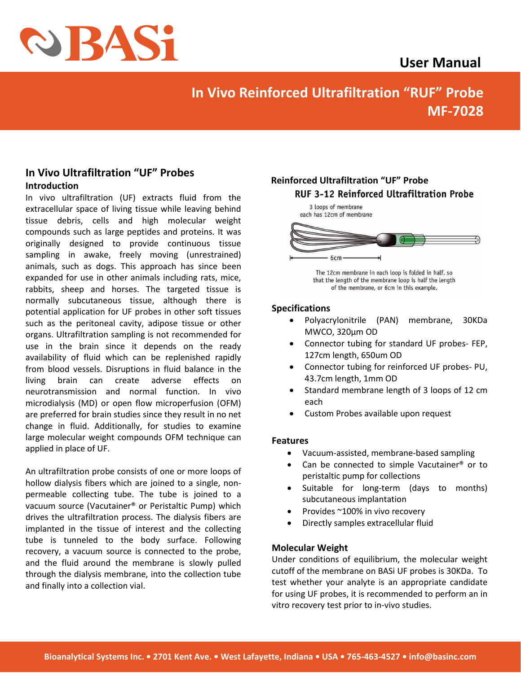

## **User Manual**

# **In Vivo Reinforced Ultrafiltration "RUF" Probe MF-7028**

## **In Vivo Ultrafiltration "UF" Probes Introduction**

In vivo ultrafiltration (UF) extracts fluid from the extracellular space of living tissue while leaving behind tissue debris, cells and high molecular weight compounds such as large peptides and proteins. It was originally designed to provide continuous tissue sampling in awake, freely moving (unrestrained) animals, such as dogs. This approach has since been expanded for use in other animals including rats, mice, rabbits, sheep and horses. The targeted tissue is normally subcutaneous tissue, although there is potential application for UF probes in other soft tissues such as the peritoneal cavity, adipose tissue or other organs. Ultrafiltration sampling is not recommended for use in the brain since it depends on the ready availability of fluid which can be replenished rapidly from blood vessels. Disruptions in fluid balance in the living brain can create adverse effects on neurotransmission and normal function. In vivo microdialysis (MD) or open flow microperfusion (OFM) are preferred for brain studies since they result in no net change in fluid. Additionally, for studies to examine large molecular weight compounds OFM technique can applied in place of UF.

An ultrafiltration probe consists of one or more loops of hollow dialysis fibers which are joined to a single, nonpermeable collecting tube. The tube is joined to a vacuum source (Vacutainer® or Peristaltic Pump) which drives the ultrafiltration process. The dialysis fibers are implanted in the tissue of interest and the collecting tube is tunneled to the body surface. Following recovery, a vacuum source is connected to the probe, and the fluid around the membrane is slowly pulled through the dialysis membrane, into the collection tube and finally into a collection vial.

## **Reinforced Ultrafiltration "UF" ProbeRUF 3-12 Reinforced Ultrafiltration Probe**



The 12cm membrane in each loop is folded in half, so that the length of the membrane loop is half the length of the membrane, or 6cm in this example.

## **Specifications**

- Polyacrylonitrile (PAN) membrane, 30KDa MWCO, 320µm OD
- Connector tubing for standard UF probes- FEP, 127cm length, 650um OD
- Connector tubing for reinforced UF probes- PU, 43.7cm length, 1mm OD
- Standard membrane length of 3 loops of 12 cm each
- Custom Probes available upon request

## **Features**

- Vacuum-assisted, membrane-based sampling
- Can be connected to simple Vacutainer® or to peristaltic pump for collections
- Suitable for long-term (days to months) subcutaneous implantation
- Provides ~100% in vivo recovery
- Directly samples extracellular fluid

#### **Molecular Weight**

Under conditions of equilibrium, the molecular weight cutoff of the membrane on BASi UF probes is 30KDa. To test whether your analyte is an appropriate candidate for using UF probes, it is recommended to perform an in vitro recovery test prior to in-vivo studies.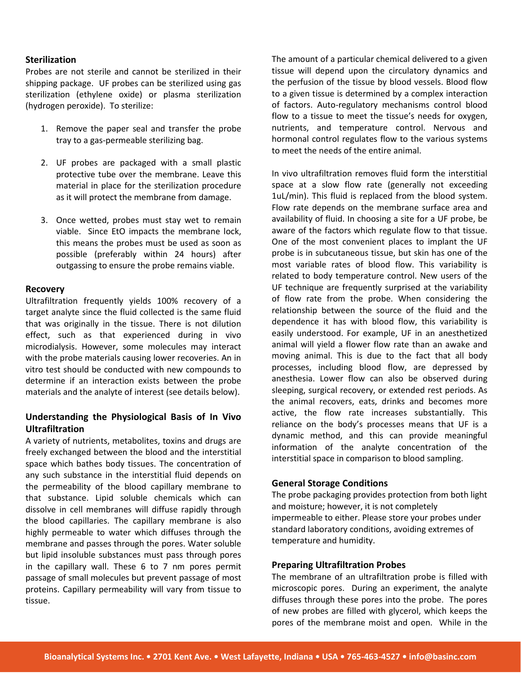#### **Sterilization**

Probes are not sterile and cannot be sterilized in their shipping package. UF probes can be sterilized using gas sterilization (ethylene oxide) or plasma sterilization (hydrogen peroxide). To sterilize:

- 1. Remove the paper seal and transfer the probe tray to a gas-permeable sterilizing bag.
- 2. UF probes are packaged with a small plastic protective tube over the membrane. Leave this material in place for the sterilization procedure as it will protect the membrane from damage.
- 3. Once wetted, probes must stay wet to remain viable. Since EtO impacts the membrane lock, this means the probes must be used as soon as possible (preferably within 24 hours) after outgassing to ensure the probe remains viable.

#### **Recovery**

Ultrafiltration frequently yields 100% recovery of a target analyte since the fluid collected is the same fluid that was originally in the tissue. There is not dilution effect, such as that experienced during in vivo microdialysis. However, some molecules may interact with the probe materials causing lower recoveries. An in vitro test should be conducted with new compounds to determine if an interaction exists between the probe materials and the analyte of interest (see details below).

## **Understanding the Physiological Basis of In Vivo Ultrafiltration**

A variety of nutrients, metabolites, toxins and drugs are freely exchanged between the blood and the interstitial space which bathes body tissues. The concentration of any such substance in the interstitial fluid depends on the permeability of the blood capillary membrane to that substance. Lipid soluble chemicals which can dissolve in cell membranes will diffuse rapidly through the blood capillaries. The capillary membrane is also highly permeable to water which diffuses through the membrane and passes through the pores. Water soluble but lipid insoluble substances must pass through pores in the capillary wall. These 6 to 7 nm pores permit passage of small molecules but prevent passage of most proteins. Capillary permeability will vary from tissue to tissue.

The amount of a particular chemical delivered to a given tissue will depend upon the circulatory dynamics and the perfusion of the tissue by blood vessels. Blood flow to a given tissue is determined by a complex interaction of factors. Auto-regulatory mechanisms control blood flow to a tissue to meet the tissue's needs for oxygen, nutrients, and temperature control. Nervous and hormonal control regulates flow to the various systems to meet the needs of the entire animal.

In vivo ultrafiltration removes fluid form the interstitial space at a slow flow rate (generally not exceeding 1uL/min). This fluid is replaced from the blood system. Flow rate depends on the membrane surface area and availability of fluid. In choosing a site for a UF probe, be aware of the factors which regulate flow to that tissue. One of the most convenient places to implant the UF probe is in subcutaneous tissue, but skin has one of the most variable rates of blood flow. This variability is related to body temperature control. New users of the UF technique are frequently surprised at the variability of flow rate from the probe. When considering the relationship between the source of the fluid and the dependence it has with blood flow, this variability is easily understood. For example, UF in an anesthetized animal will yield a flower flow rate than an awake and moving animal. This is due to the fact that all body processes, including blood flow, are depressed by anesthesia. Lower flow can also be observed during sleeping, surgical recovery, or extended rest periods. As the animal recovers, eats, drinks and becomes more active, the flow rate increases substantially. This reliance on the body's processes means that UF is a dynamic method, and this can provide meaningful information of the analyte concentration of the interstitial space in comparison to blood sampling.

#### **General Storage Conditions**

The probe packaging provides protection from both light and moisture; however, it is not completely impermeable to either. Please store your probes under standard laboratory conditions, avoiding extremes of temperature and humidity.

#### **Preparing Ultrafiltration Probes**

The membrane of an ultrafiltration probe is filled with microscopic pores. During an experiment, the analyte diffuses through these pores into the probe. The pores of new probes are filled with glycerol, which keeps the pores of the membrane moist and open. While in the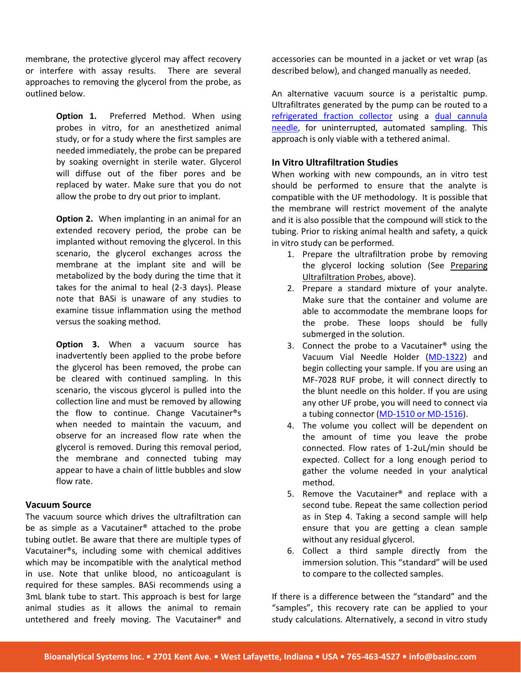membrane, the protective glycerol may affect recovery or interfere with assay results. There are several approaches to removing the glycerol from the probe, as outlined below.

> **Option 1.** Preferred Method. When using probes in vitro, for an anesthetized animal study, or for a study where the first samples are needed immediately, the probe can be prepared by soaking overnight in sterile water. Glycerol will diffuse out of the fiber pores and be replaced by water. Make sure that you do not allow the probe to dry out prior to implant.

> **Option 2.** When implanting in an animal for an extended recovery period, the probe can be implanted without removing the glycerol. In this scenario, the glycerol exchanges across the membrane at the implant site and will be metabolized by the body during the time that it takes for the animal to heal (2-3 days). Please note that BASi is unaware of any studies to examine tissue inflammation using the method versus the soaking method.

> **Option 3.** When a vacuum source has inadvertently been applied to the probe before the glycerol has been removed, the probe can be cleared with continued sampling. In this scenario, the viscous glycerol is pulled into the collection line and must be removed by allowing the flow to continue. Change Vacutainer®s when needed to maintain the vacuum, and observe for an increased flow rate when the glycerol is removed. During this removal period, the membrane and connected tubing may appear to have a chain of little bubbles and slow flow rate.

#### **Vacuum Source**

The vacuum source which drives the ultrafiltration can be as simple as a Vacutainer® attached to the probe tubing outlet. Be aware that there are multiple types of Vacutainer®s, including some with chemical additives which may be incompatible with the analytical method in use. Note that unlike blood, no anticoagulant is required for these samples. BASi recommends using a 3mL blank tube to start. This approach is best for large animal studies as it allows the animal to remain untethered and freely moving. The Vacutainer® and

accessories can be mounted in a jacket or vet wrap (as described below), and changed manually as needed.

An alternative vacuum source is a peristaltic pump. Ultrafiltrates generated by the pump can be routed to a [refrigerated fraction collector](https://www.basinc.com/dual-channel-refrigerated-fraction-collector) using a [dual cannula](https://www.basinc.com/products/MF-7016)  [needle,](https://www.basinc.com/products/MF-7016) for uninterrupted, automated sampling. This approach is only viable with a tethered animal.

#### **In Vitro Ultrafiltration Studies**

When working with new compounds, an in vitro test should be performed to ensure that the analyte is compatible with the UF methodology. It is possible that the membrane will restrict movement of the analyte and it is also possible that the compound will stick to the tubing. Prior to risking animal health and safety, a quick in vitro study can be performed.

- 1. Prepare the ultrafiltration probe by removing the glycerol locking solution (See Preparing Ultrafiltration Probes, above).
- 2. Prepare a standard mixture of your analyte. Make sure that the container and volume are able to accommodate the membrane loops for the probe. These loops should be fully submerged in the solution.
- 3. Connect the probe to a Vacutainer® using the Vacuum Vial Needle Holder [\(MD-1322\)](https://www.basinc.com/products/312) and begin collecting your sample. If you are using an MF-7028 RUF probe, it will connect directly to the blunt needle on this holder. If you are using any other UF probe, you will need to connect via a tubing connector [\(MD-1510 or MD-1516\)](https://www.basinc.com/products/In-Vivo/mdperf-tubing).
- 4. The volume you collect will be dependent on the amount of time you leave the probe connected. Flow rates of 1-2uL/min should be expected. Collect for a long enough period to gather the volume needed in your analytical method.
- 5. Remove the Vacutainer® and replace with a second tube. Repeat the same collection period as in Step 4. Taking a second sample will help ensure that you are getting a clean sample without any residual glycerol.
- 6. Collect a third sample directly from the immersion solution. This "standard" will be used to compare to the collected samples.

If there is a difference between the "standard" and the "samples", this recovery rate can be applied to your study calculations. Alternatively, a second in vitro study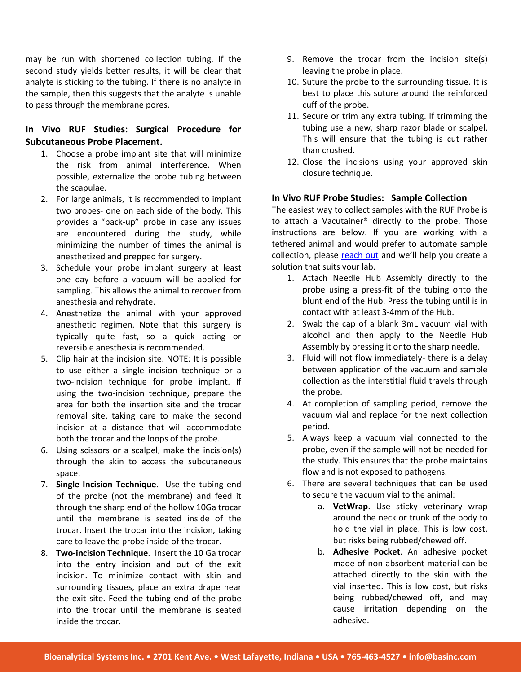may be run with shortened collection tubing. If the second study yields better results, it will be clear that analyte is sticking to the tubing. If there is no analyte in the sample, then this suggests that the analyte is unable to pass through the membrane pores.

## **In Vivo RUF Studies: Surgical Procedure for Subcutaneous Probe Placement.**

- 1. Choose a probe implant site that will minimize the risk from animal interference. When possible, externalize the probe tubing between the scapulae.
- 2. For large animals, it is recommended to implant two probes- one on each side of the body. This provides a "back-up" probe in case any issues are encountered during the study, while minimizing the number of times the animal is anesthetized and prepped for surgery.
- 3. Schedule your probe implant surgery at least one day before a vacuum will be applied for sampling. This allows the animal to recover from anesthesia and rehydrate.
- 4. Anesthetize the animal with your approved anesthetic regimen. Note that this surgery is typically quite fast, so a quick acting or reversible anesthesia is recommended.
- 5. Clip hair at the incision site. NOTE: It is possible to use either a single incision technique or a two-incision technique for probe implant. If using the two-incision technique, prepare the area for both the insertion site and the trocar removal site, taking care to make the second incision at a distance that will accommodate both the trocar and the loops of the probe.
- 6. Using scissors or a scalpel, make the incision(s) through the skin to access the subcutaneous space.
- 7. **Single Incision Technique**. Use the tubing end of the probe (not the membrane) and feed it through the sharp end of the hollow 10Ga trocar until the membrane is seated inside of the trocar. Insert the trocar into the incision, taking care to leave the probe inside of the trocar.
- 8. **Two-incision Technique**. Insert the 10 Ga trocar into the entry incision and out of the exit incision. To minimize contact with skin and surrounding tissues, place an extra drape near the exit site. Feed the tubing end of the probe into the trocar until the membrane is seated inside the trocar.
- 9. Remove the trocar from the incision site(s) leaving the probe in place.
- 10. Suture the probe to the surrounding tissue. It is best to place this suture around the reinforced cuff of the probe.
- 11. Secure or trim any extra tubing. If trimming the tubing use a new, sharp razor blade or scalpel. This will ensure that the tubing is cut rather than crushed.
- 12. Close the incisions using your approved skin closure technique.

#### **In Vivo RUF Probe Studies: Sample Collection**

The easiest way to collect samples with the RUF Probe is to attach a Vacutainer® directly to the probe. Those instructions are below. If you are working with a tethered animal and would prefer to automate sample collection, please [reach out](https://www.basinc.com/contact) and we'll help you create a solution that suits your lab.

- 1. Attach Needle Hub Assembly directly to the probe using a press-fit of the tubing onto the blunt end of the Hub. Press the tubing until is in contact with at least 3-4mm of the Hub.
- 2. Swab the cap of a blank 3mL vacuum vial with alcohol and then apply to the Needle Hub Assembly by pressing it onto the sharp needle.
- 3. Fluid will not flow immediately- there is a delay between application of the vacuum and sample collection as the interstitial fluid travels through the probe.
- 4. At completion of sampling period, remove the vacuum vial and replace for the next collection period.
- 5. Always keep a vacuum vial connected to the probe, even if the sample will not be needed for the study. This ensures that the probe maintains flow and is not exposed to pathogens.
- 6. There are several techniques that can be used to secure the vacuum vial to the animal:
	- a. **VetWrap**. Use sticky veterinary wrap around the neck or trunk of the body to hold the vial in place. This is low cost, but risks being rubbed/chewed off.
	- b. **Adhesive Pocket**. An adhesive pocket made of non-absorbent material can be attached directly to the skin with the vial inserted. This is low cost, but risks being rubbed/chewed off, and may cause irritation depending on the adhesive.